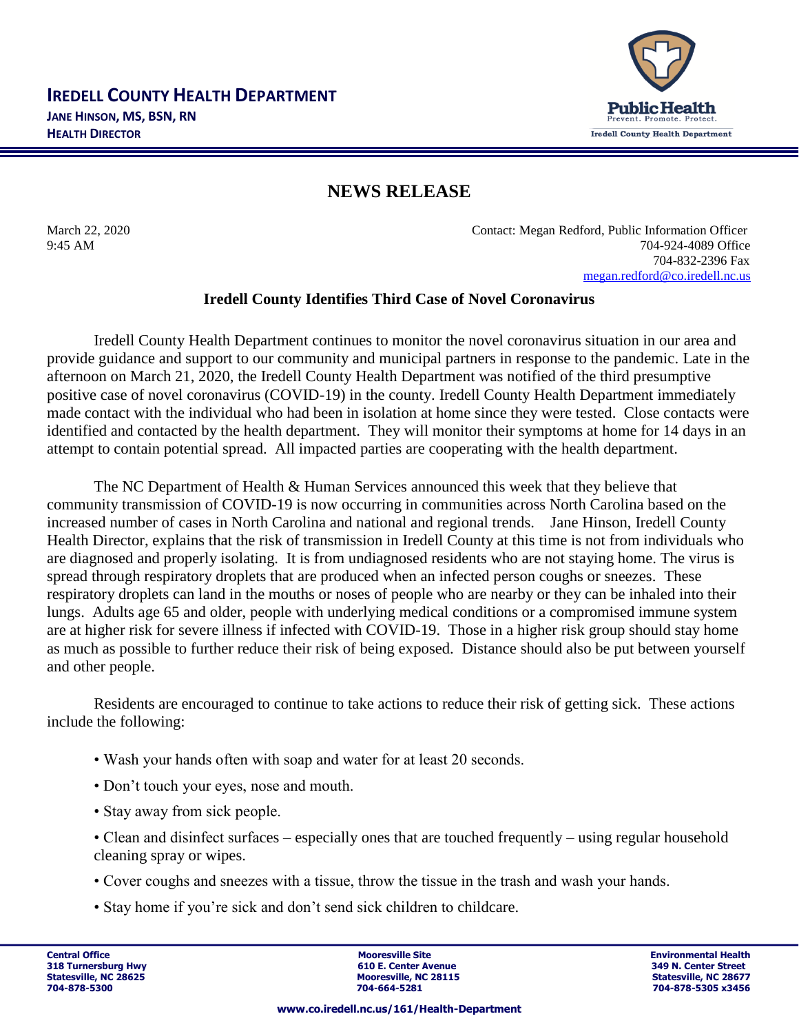

## **NEWS RELEASE**

March 22, 2020 Contact: Megan Redford, Public Information Officer 9:45 AM 704-924-4089 Office 704-832-2396 Fax [megan.redford@co.iredell.nc.us](mailto:megan.redford@co.iredell.nc.us)

## **Iredell County Identifies Third Case of Novel Coronavirus**

Iredell County Health Department continues to monitor the novel coronavirus situation in our area and provide guidance and support to our community and municipal partners in response to the pandemic. Late in the afternoon on March 21, 2020, the Iredell County Health Department was notified of the third presumptive positive case of novel coronavirus (COVID-19) in the county. Iredell County Health Department immediately made contact with the individual who had been in isolation at home since they were tested. Close contacts were identified and contacted by the health department. They will monitor their symptoms at home for 14 days in an attempt to contain potential spread. All impacted parties are cooperating with the health department.

The NC Department of Health & Human Services announced this week that they believe that community transmission of COVID-19 is now occurring in communities across North Carolina based on the increased number of cases in North Carolina and national and regional trends. Jane Hinson, Iredell County Health Director, explains that the risk of transmission in Iredell County at this time is not from individuals who are diagnosed and properly isolating. It is from undiagnosed residents who are not staying home. The virus is spread through respiratory droplets that are produced when an infected person coughs or sneezes. These respiratory droplets can land in the mouths or noses of people who are nearby or they can be inhaled into their lungs. Adults age 65 and older, people with underlying medical conditions or a compromised immune system are at higher risk for severe illness if infected with COVID-19. Those in a higher risk group should stay home as much as possible to further reduce their risk of being exposed. Distance should also be put between yourself and other people.

Residents are encouraged to continue to take actions to reduce their risk of getting sick. These actions include the following:

- Wash your hands often with soap and water for at least 20 seconds.
- Don't touch your eyes, nose and mouth.
- Stay away from sick people.
- Clean and disinfect surfaces especially ones that are touched frequently using regular household cleaning spray or wipes.
- Cover coughs and sneezes with a tissue, throw the tissue in the trash and wash your hands.
- Stay home if you're sick and don't send sick children to childcare.